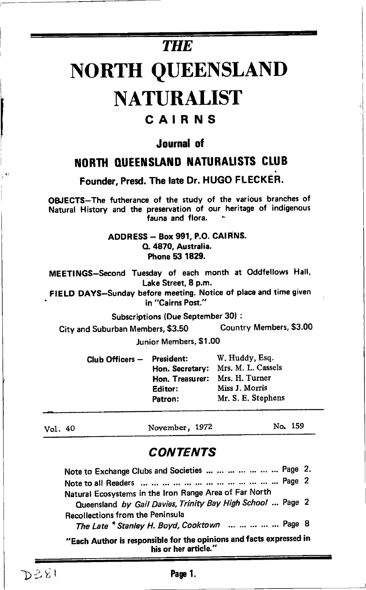# **THE** NORTH QUEENSLANI) NATURALIST

## CAIRNS

## Journal of

## NORTH QUEENSLAND NATURALISTS CLUB

Founder, Presd. The late Dr. HUGO FLECKEh.

OBJECTS-The futherance of the study of the various branches of Natural History and the preservation of our heritage of indigenous fauna and flora.

#### ADDRESS - Box 991, P.O. cAlHNS. Q. 4870, Australia. Phone 53 1829.

MEETINGS-Second Tuesday of each month at Oddfellows Hall, Lake Street, 8 p.m.

. FIELD DAYS-Sunday before meeting, Notice of place and time given in "Cairns Post."

Subscriptions (Due September 30) :

City and Suburban Members, \$3.50 Country Members, \$3'00

Junior Members, \$1.00

| Club Officers — | <b>President:</b> | W. Huddy, Esg.     |
|-----------------|-------------------|--------------------|
|                 | Hon. Secretary:   | Mrs. M. L. Cassels |
|                 | Hon. Treasurer:   | Mrs. H. Turner     |
|                 | Editor:           | Miss J. Morris     |
|                 | Patron:           | Mr. S. E. Stephens |
|                 |                   |                    |

Vol. <sup>40</sup> Nwember, 1972 No. <sup>159</sup>

## **CONTENTS**

| Note to Exchange Clubs and Societies        Page 2.                                                                  |  |
|----------------------------------------------------------------------------------------------------------------------|--|
|                                                                                                                      |  |
| Natural Ecosystems in the Iron Range Area of Far North<br>Queensland by Gail Davies, Trinity Bay High School  Page 2 |  |
| <b>Recollections from the Peninsula</b><br>The Late * Stanley H. Boyd, Cooktown      Page 8                          |  |
| "Each Author is responsible for the opinions and facts expressed in<br>his or her article."                          |  |

 $D \geq \hat{\zeta}$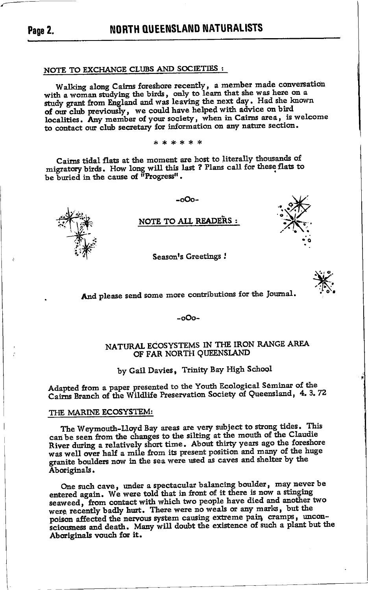## NOTE TO EXCHANGE CLUBS AND SOCIETIES :

Walking along Cairns foreshore recently, a member made conversation with a woman studying the birds, only to learn that she was here on a<br>study grant from England and was leaving the next day. Had she known of our club previously, we could have helped with advice on bird localities. Any member of your society, when in Cairns area, is welcome to contact our club secretary for information on any nature section.

\* \* \* \* \* \*

Cairns tidal flats at the moment are host to literally thousands of migratory birds. How long will this last ? Plans call for these flats to be buried in the cause of "Progress".



### NOTE TO ALL READERS :

-ი0ი-

Season's Greetings !



And please send some more contributions for the Journal.

 $-000-$ 

#### NATURAL ECOSYSTEMS IN THE IRON RANGE AREA OF FAR NORTH QUEENSLAND

by Gail Davies, Trinity Bay High School

Adapted from a paper presented to the Youth Ecological Seminar of the Cairns Branch of the Wildlife Preservation Society of Queensland, 4.3.72

#### THE MARINE ECOSYSTEM:

The Weymouth-Lloyd Bay areas are very subject to strong tides. This can be seen from the changes to the silting at the mouth of the Claudie River during a relatively short time. About thirty years ago the foreshore was well over half a mile from its present position and many of the huge granite boulders now in the sea were used as caves and shelter by the Aboriginals.

One such cave, under a spectacular balancing boulder, may never be entered again. We were told that in front of it there is now a stinging seaweed, from contact with which two people have died and another two were recently badly hurt. There were no weals or any marks, but the poison affected the nervous system causing extreme pain, cramps, unconsciousness and death. Many will doubt the existence of such a plant but the Aboriginals vouch for it.

Page 2.

**NORTH QUEENSLAND NATURALISTS**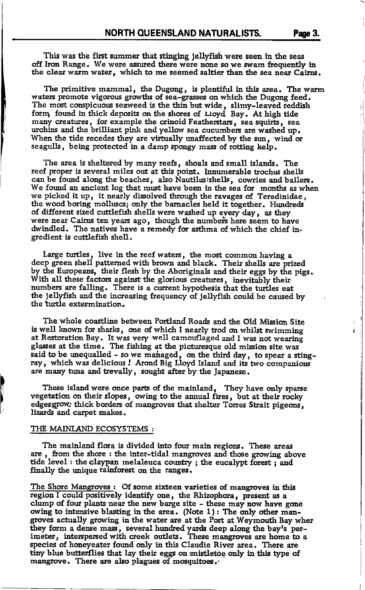This was the first summer that stinging jellyfish were seen in the seas off Iron Range. We were assured there were none so we swam frequently in the clear warm water, which to me seemed saltier than the sea near Cairns.

The primitive mammal, the Dugong, is plentiful in this area. The warm waters promote vigorous growths of sea-grasses on which the Dugong feed. The most conspicuous seaweed is the thin but wide, slimy-leaved reddish form, found in thick deposits on the shores of Lloyd Bay. At high tide many creatures, for example the crinoid Featherstars, sea squirts, sea urchins and the brilliant pink and yellow sea cucumbers are washed up. When the tide recedes they are virtually unaffected by the sun, wind or seagulls, being protected in a damp spongy mass of rotting kelp.

The area is sheltered by many reefs, shoals and small islands. The reef proper is several miles out at this point. Innumerable trochus shells can be found along the beaches, also Nautilus shells, cowries and bailers. We found an ancient log that must have been in the sea for months as when we picked it up, it nearly dissolved through the ravages of Teredinidae, the wood boring molluscs; only the barnacles held it together. Hundreds of different sized cuttlefish shells were washed up every day, as they were near Cairns ten years ago, though the numbers here seem to have dwindled. The natives have a remedy for asthma of which the chief ingredient is cuttlefish shell.

Large turtles, live in the reef waters, the most common having a deep green shell patterned with brown and black. Their shells are prized by the Europeans, their flesh by the Aboriginals and their eggs by the pigs. With all these factors against the glorious creatures, inevitably their<br>numbers are falling. There is a current hypothesis that the turtles eat the jellyfish and the increasing frequency of jellyfish could be caused by the turtle extermination.

The whole coastline between Portland Roads and the Old Mission Site is well known for sharks. one of which I nearly trod on whilst swimming at Restoration Bay. It was very well camouflaged and I was not wearing glasses at the time. The fishing at the picturesque old mission site was said to be unequalled - so we managed, on the third day, to spear a stingray, which was delicious! Arond Big Lloyd Island and its two companions are many tuna and trevally, sought after by the Japanese.

These island were once parts of the mainland, They have only sparse vegetation on their slopes, owing to the annual fires, but at their rocky edgesgrow: thick borders of mangroves that shelter Torres Strait pigeons, lizards and carpet snakes.

#### THE MAINLAND ECOSYSTEMS:

The mainland flora is divided into four main regions. These areas are, from the shore: the inter-tidal mangroves and those growing above tide level : the claypan melaleuca country; the eucalypt forest; and finally the unique rainforest on the ranges,

The Shore Mangroves : Of some sixteen varieties of mangroves in this region I could positively identify one, the Rhizophora, present as a clump of four plants near the new barge site - these may now have gone owing to intensive blasting in the area. (Note 1): The only other mangroves actually growing in the water are at the Port at Weymouth Bay wher they form a dense mass, several hundred yards deep along the bay's per-<br>imeter, interspersed with creek outlets. These mangroves are home to a species of honeyeater found only in this Claudie River area. There are tiny blue butterflies that lay their eggs on mistletoe only in this type of mangrove. There are also plagues of mosquitoes.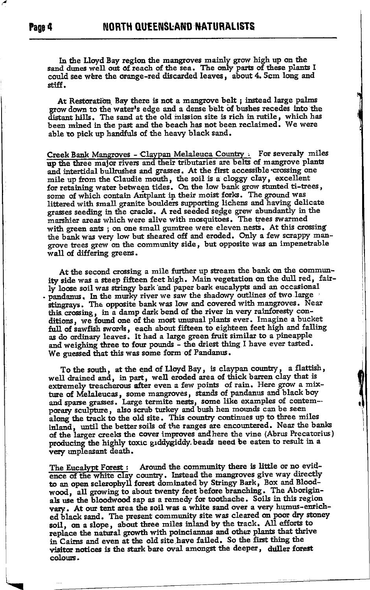In the Llovd Bay region the mangroves mainly grow high up on the sand dunes well out of reach of the sea. The only parts of these plants I could see were the orange-red discarded leaves, about 4. 5cm long and stiff.

At Restoration Bay there is not a mangrove belt : instead large palms grow down to the water's edge and a dense belt of bushes recedes into the distant hills. The sand at the old mission site is rich in rutile, which has been mined in the past and the beach has not been reclaimed. We were able to pick up handfuls of the heavy black sand.

Creek Bank Mangroves - Claypan Melaleuca Country: For severaly miles up the three major rivers and their tributaries are belts of mangrove plants and intertidal bullrushes and grasses. At the first accessible crossing one mile up from the Claudie mouth, the soil is a cloggy clay, excellent for retaining water between tides. On the low bank grow stunted ti-trees. some of which contain Antplant in their moist forks. The ground was littered with small granite boulders supporting lichens and having delicate grasses seeding in the cracks. A red seeded sedge grew abundantly in the marshier areas which were alive with mosquitoes. The trees swarmed with green ants; on one small gumtree were eleven nests. At this crossing the bank was very low but sheared off and eroded. Only a few scrappy mangrove trees grew on the community side, but opposite was an impenetrable wall of differing greens.

At the second crossing a mile further up stream the bank on the community side was a steep fifteen feet high. Main vegetation on the dull red. fairly loose soil was stringy bark and paper bark eucalypts and an occasional pandanus. In the murky river we saw the shadowy outlines of two large stingrays. The opposite bank was low and covered with mangroves. Near this crossing, in a damp dark bend of the river in very rainforesty conditions, we found one of the most unusual plants ever. Imagine a bucket full of sawfish swords, each about fifteen to eighteen feet high and falling as do ordinary leaves. It had a large green fruit similar to a pineapple and weighing three to four pounds - the driest thing I have ever tasted. We guessed that this was some form of Pandanus.

To the south, at the end of Lloyd Bay, is claypan country, a flattish, well drained and, in part, well eroded area of thick barren clay that is extremely treacherous after even a few points of rain. Here grow a mixture of Melaleucas, some mangroves, stands of pandanus and black boy and sparse grasses. Large termite nests, some like examples of contem-porary sculpture, also scrub turkey and bush hen mounds can be seen along the track to the old site. This country continues up to three miles inland, until the better soils of the ranges are encountered. Near the banks of the larger creeks the cover improves and here the vine (Abrus Precatorius) producing the highly toxic giddygiddy beads need be eaten to result in a very unpleasant death.

The Eucalypt Forest : Around the community there is little or no evidence of the white clay country. Instead the mangroves give way directly to an open sclerophyll forest dominated by Stringy Bark, Box and Bloodwood, all growing to about twenty feet before branching. The Aboriginals use the bloodwood sap as a remedy for toothache. Soils in this region vary. At our tent area the soil was a white sand over a very humus-enriched black sand. The present community site was cleared on poor dry stoney soil, on a slope, about three miles inland by the track. All efforts to replace the natural growth with poinciannas and other plants that thrive in Cairns and even at the old site have failed. So the first thing the visitor notices is the stark bare oval amongst the deeper, duller forest colours.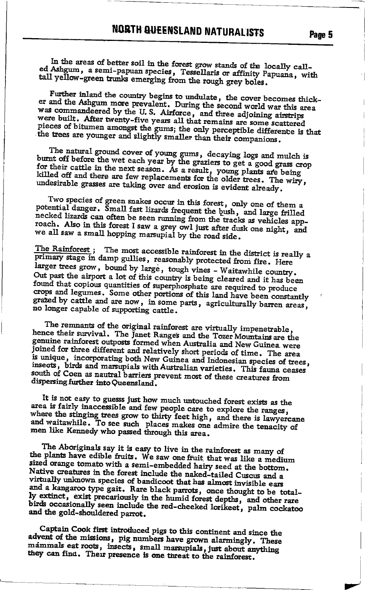In the areas of better soil in the forest grow stands of the locally called Ashgum, a semi-papuan species, Tessellaris or affinity Papuana, with tall yellow-green trunks emerging from the rough grey boles.

Further inland the country begins to undulate, the cover becomes thicker and the Ashgum more prevalent. During the second world war this area was commandeered by the U.S. Airforce, and three adjoining airstrips were built. After twenty-five years all that remains are some scattered pieces of bitumen amongst the gums; the only perceptible difference is that the trees are younger and slightly smaller than their companions.

The natural ground cover of young gums, decaying logs and mulch is<br>burnt off before the wet each year by the graziers to get a good grass crop for their cattle in the next season. As a result, young plants are being killed off and there are few replacements for the older trees. The wiry, undesirable grasses are taking over and erosion is evident already.

Two species of green snakes occur in this forest, only one of them a potential danger. Small fast lizards frequent the bush, and large frilled necked lizards can often be seen running from the tracks as vehicles approach. Also in this forest I saw a grey owl just after dusk one night, and we all saw a small hopping marsupial by the road side.

The Rainforest; The most accessible rainforest in the district is really a primary stage in damp gullies, reasonably protected from fire. Here larger trees grow, bound by large, tough vines - Waitawhile country. Out past the airport a lot of this country is being cleared and it has been found that copious quantities of superphosphate are required to produce crops and legumes. Some other portions of this land have been constantly grazed by cattle and are now, in some parts, agriculturally barren areas, no longer capable of supporting cattle.

The remnants of the original rainforest are virtually impenetrable, hence their survival. The Janet Ranges and the Tozer Mountains are the genuine rainforest outposts formed when Australia and New Guinea were joined for three different and relatively short periods of time. The area is unique, incorporating both New Guinea and Indonesian species of trees, insects, birds and marsupials with Australian varieties. This fauna ceases south of Coen as nautral barriers prevent most of these creatures from dispersing further into Queensland.

It is not easy to guesss just how much untouched forest exists as the area is fairly inaccessible and few people care to explore the ranges, where the stinging trees grow to thirty feet high, and there is lawyercane and waitawhile. To see such places makes one admire the tenacity of men like Kennedy who passed through this area.

The Aboriginals say it is easy to live in the rainforest as many of the plants have edible fruits. We saw one fruit that was like a medium sized orange tomato with a semi-embedded hairy seed at the bottom. Native creatures in the forest include the naked-tailed Cuscus and a virtually unknown species of bandicoot that has almost invisible ears and a kangaroo type gait. Rare black parrots, once thought to be totally extinct, exist precariously in the humid forest depths, and other rare birds occasionally seen include the red-cheeked lorikeet, palm cockatoo and the gold-shouldered parrot.

Captain Cook first introduced pigs to this continent and since the advent of the missions, pig numbers have grown alarmingly. These mammals eat roots, insects, small marsupials, just about anything they can find. Their presence is one threat to the rainforest.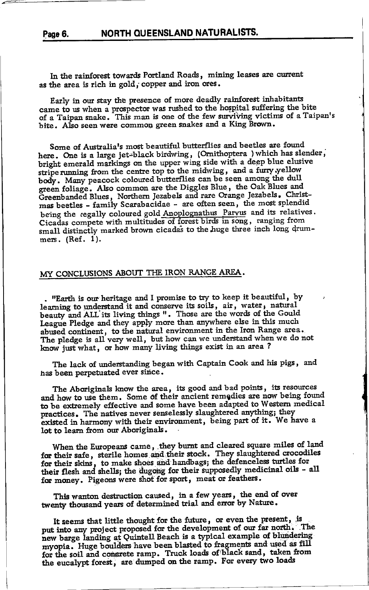#### NORTH QUEENSLAND NATURALISTS. Page 6.

In the rainforest towards Portland Roads, mining leases are current as the area is rich in gold, copper and iron ores.

Early in our stay the presence of more deadly rainforest inhabitants came to us when a prospector was rushed to the hospital suffering the bite of a Taipan snake. This man is one of the few surviving victims of a Taipan's bite. Also seen were common green snakes and a King Brown.

Some of Australia's most beautiful butterflies and beetles are found here. One is a large jet-black birdwing, (Ornithoptera ) which has slender, bright emerald markings on the upper wing side with a deep blue elusive stripe running from the centre top to the midwing, and a furry yellow body. Many peacock coloured butterflies can be seen among the dull green foliage. Also common are the Diggles Blue, the Oak Blues and Greenbanded Blues, Northern Jezabels and rare Orange Jezabels. Christmas beetles - family Scarabacidae - are often seen, the most splendid being the regally coloured gold Anoplognathus Parvus and its relatives. Cicadas compete with multitudes of forest birds in song, ranging from small distinctly marked brown cicadas to the huge three inch long drummers. (Ref. 1).

#### MY CONCLUSIONS ABOUT THE IRON RANGE AREA.

. "Earth is our heritage and I promise to try to keep it beautiful, by learning to understand it and conserve its soils, air, water, natural beauty and ALL its living things ". Those are the words of the Gould League Pledge and they apply more than anywhere else in this much abused continent, to the natural environment in the Iron Range area. The pledge is all very well, but how can we understand when we do not know just what, or how many living things exist in an area?

The lack of understanding began with Captain Cook and his pigs, and has been perpetuated ever since.

The Aboriginals know the area, its good and bad points, its resources and how to use them. Some of their ancient remedies are now being found to be extremely effective and some have been adapted to Western medical practices. The natives never senselessly slaughtered anything; they existed in harmony with their environment, being part of it. We have a lot to learn from our Aboriginals.

When the Europeans came, they burnt and cleared square miles of land for their safe, sterile homes and their stock. They slaughtered crocodiles for their skins, to make shoes and handbags; the defenceless turtles for their flesh and shells; the dugong for their supposedly medicinal oils - all for money. Pigeons were shot for sport, meat or feathers.

This wanton destruction caused, in a few years, the end of over twenty thousand years of determined trial and error by Nature.

It seems that little thought for the future, or even the present, is put into any project proposed for the development of our far north. The new barge landing at Quintell Beach is a typical example of blundering myopia. Huge boulders have been blasted to fragments and used as fill for the soil and concrete ramp. Truck loads of black sand, taken from the eucalypt forest, are dumped on the ramp. For every two loads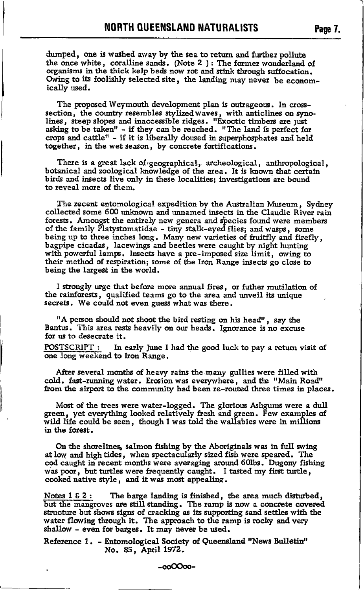dumped, one is washed away by the sea to return and further pollute the once white, coralline sands. (Note 2): The former wonderland of organisms in the thick kelp beds now rot and stink through suffocation. Owing to its foolishly selected site, the landing may never be economically used.

The proposed Weymouth development plan is outrageous. In crosssection, the country resembles stylized waves, with anticlines on synolines, steep slopes and inaccessible ridges. "Exoctic timbers are just asking to be taken" - if they can be reached. "The land is perfect for crops and cattle" - if it is liberally doused in superphosphates and held together, in the wet season, by concrete fortifications.

There is a great lack of  $geographical$ , archeological, anthropological, botanical and zoological knowledge of the area. It is known that certain birds and insects live only in these localities; investigations are bound to reveal more of them.

fhe recent entomological expedition by the Australian Museum, Sydney collected some 600 unknown and unnamed insects in the Claudie River rain forests. Amongst the entirely new genera and species found were members of the family Platystomatidae - tiny stalk-eyed flies; and wasps, some being up to three inches long. Many new varieties of fruitfly and firefly, bagpipe cicadas, lacewings and beetles were caught by night hunting with powerful lamps. Insects have a pre-imposed size limit, owing to their method of respiration; some of the Iron Range insects go close to being the largest in the world.

I strongly urge that before more annual fires, or futher mutilation of the rainforests, qualified teams go to the area and unveil its unique secrets. We could not even guess what was there.

"A person should not shoot the bird resting on his head", say the Bantus. This area rests heavily on our heads. Ignorance is no excuse for us to desecrate it.

POSTSCRIPT : In early June I had the good luck to pay a return visit of one long weekend to hon Range.

After several months of heavy rains the many gullies were filled with cold. fast-running water. Erosion was everywhere, and the "Main Road" from the airport to the community had been re-routed three times in places.

Most of the trees were water-logged. The glorious Ashgums were a dull green, yet everything looked relatively fresh and green. Few examples of wild life could be seen, though I was told the wallabies were in millions in the forest.

On the shorelines, salmon fishing by the Aboriginals was in full swing at low and high tides, when spectacularly sized fish were speared. The cod caught in recent months were averaging around 60lbs. Dugony fishing was poor, but turtles were frequently caught. I tasted my first turtle, cooked native style, and it was most appealing.

Notes  $1 \& 2$ : The barge landing is finished, the area much disturbed, but the mangroves are still standing. The ramp is now a concrete covered structure but shows signs of cracking as its supporting sand settles with the water flowing through it. The approach to the ramp is rocky and very shallow - even for barges. It may never be used.

Reference 1. - Entomological Society of Queensland "News Bulletin" No. 85, April 1972.